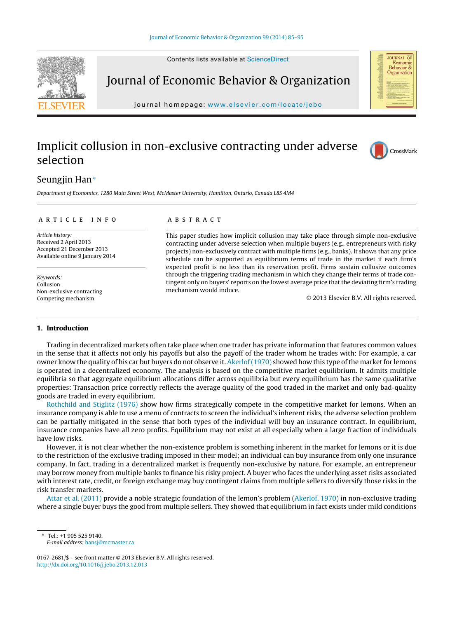Contents lists available at [ScienceDirect](http://www.sciencedirect.com/science/journal/01672681)



Journal of Economic Behavior & Organization

journal homepage: [www.elsevier.com/locate/jebo](http://www.elsevier.com/locate/jebo)

## Implicit collusion in non-exclusive contracting under adverse selection



**JOURNAL OF** Economic<br>Behavior & Organization



### Seungjin Han<sup>∗</sup>

Department of Economics, 1280 Main Street West, McMaster University, Hamilton, Ontario, Canada L8S 4M4

#### a r t i c l e i n f o

Article history: Received 2 April 2013 Accepted 21 December 2013 Available online 9 January 2014

Keywords: Collusion Non-exclusive contracting Competing mechanism

#### **1. Introduction**

#### A B S T R A C T

This paper studies how implicit collusion may take place through simple non-exclusive contracting under adverse selection when multiple buyers (e.g., entrepreneurs with risky projects) non-exclusively contract with multiple firms (e.g., banks). It shows that any price schedule can be supported as equilibrium terms of trade in the market if each firm's expected profit is no less than its reservation profit. Firms sustain collusive outcomes through the triggering trading mechanism in which they change their terms of trade contingent only on buyers' reports on the lowest average price that the deviating firm's trading mechanism would induce.

© 2013 Elsevier B.V. All rights reserved.

Trading in decentralized markets often take place when one trader has private information that features common values in the sense that it affects not only his payoffs but also the payoff of the trader whom he trades with: For example, a car owner know the quality of his car but buyers do not observe it. Akerlof (1970) showed how this type of the market for lemons is operated in a decentralized economy. The analysis is based on the competitive market equilibrium. It admits multiple equilibria so that aggregate equilibrium allocations differ across equilibria but every equilibrium has the same qualitative properties: Transaction price correctly reflects the average quality of the good traded in the market and only bad-quality goods are traded in every equilibrium.

[Rothchild](#page--1-0) [and](#page--1-0) [Stiglitz](#page--1-0) [\(1976\)](#page--1-0) show how firms strategically compete in the competitive market for lemons. When an insurance company is able to use a menu of contracts to screen the individual's inherent risks, the adverse selection problem can be partially mitigated in the sense that both types of the individual will buy an insurance contract. In equilibrium, insurance companies have all zero profits. Equilibrium may not exist at all especially when a large fraction of individuals have low risks.

However, it is not clear whether the non-existence problem is something inherent in the market for lemons or it is due to the restriction of the exclusive trading imposed in their model; an individual can buy insurance from only one insurance company. In fact, trading in a decentralized market is frequently non-exclusive by nature. For example, an entrepreneur may borrow money from multiple banks to finance his risky project. A buyer who faces the underlying asset risks associated with interest rate, credit, or foreign exchange may buy contingent claims from multiple sellers to diversify those risks in the risk transfer markets.

[Attar](#page--1-0) et [al.](#page--1-0) [\(2011\)](#page--1-0) provide a noble strategic foundation of the lemon's problem ([Akerlof,](#page--1-0) [1970\)](#page--1-0) in non-exclusive trading where a single buyer buys the good from multiple sellers. They showed that equilibrium in fact exists under mild conditions

<sup>∗</sup> Tel.: +1 905 525 9140. E-mail address: [hansj@mcmaster.ca](mailto:hansj@mcmaster.ca)

<sup>0167-2681/\$</sup> – see front matter © 2013 Elsevier B.V. All rights reserved. [http://dx.doi.org/10.1016/j.jebo.2013.12.013](dx.doi.org/10.1016/j.jebo.2013.12.013)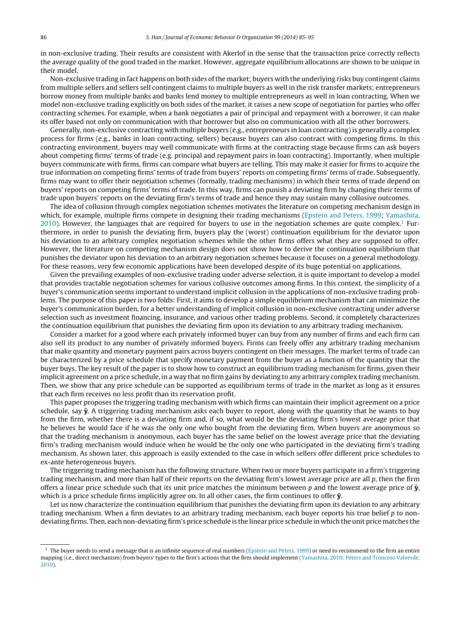in non-exclusive trading. Their results are consistent with Akerlof in the sense that the transaction price correctly reflects the average quality of the good traded in the market. However, aggregate equilibrium allocations are shown to be unique in their model.

Non-exclusive trading in fact happens on both sides ofthe market; buyers with the underlying risks buy contingent claims from multiple sellers and sellers sell contingent claims to multiple buyers as well in the risk transfer markets; entrepreneurs borrow money from multiple banks and banks lend money to multiple entrepreneurs as well in loan contracting. When we model non-exclusive trading explicitly on both sides of the market, it raises a new scope of negotiation for parties who offer contracting schemes. For example, when a bank negotiates a pair of principal and repayment with a borrower, it can make its offer based not only on communication with that borrower but also on communication with all the other borrowers.

Generally, non-exclusive contracting with multiple buyers (e.g., entrepreneurs in loan contracting)is generally a complex process for firms (e.g., banks in loan contracting, sellers) because buyers can also contract with competing firms. In this contracting environment, buyers may well communicate with firms at the contracting stage because firms can ask buyers about competing firms' terms of trade (e.g. principal and repayment pairs in loan contracting). Importantly, when multiple buyers communicate with firms, firms can compare what buyers are telling. This may make it easier for firms to acquire the true information on competing firms' terms of trade from buyers' reports on competing firms' terms of trade. Subsequently, firms may want to offer their negotiation schemes (formally, trading mechanisms) in which their terms of trade depend on buyers' reports on competing firms' terms of trade. In this way, firms can punish a deviating firm by changing their terms of trade upon buyers' reports on the deviating firm's terms of trade and hence they may sustain many collusive outcomes.

The idea of collusion through complex negotiation schemes motivates the literature on competing mechanism design in which, for example, multiple firms compete in designing their trading mechanisms ([Epstein](#page--1-0) [and](#page--1-0) [Peters,](#page--1-0) [1999;](#page--1-0) [Yamashita,](#page--1-0)  $2010$ ). However, the languages that are required for buyers to use in the negotiation schemes are quite complex.<sup>1</sup> Furthermore, in order to punish the deviating firm, buyers play the (worst) continuation equilibrium for the deviator upon his deviation to an arbitrary complex negotiation schemes while the other firms offers what they are supposed to offer. However, the literature on competing mechanism design does not show how to derive the continuation equilibrium that punishes the deviator upon his deviation to an arbitrary negotiation schemes because it focuses on a general methodology. For these reasons, very few economic applications have been developed despite of its huge potential on applications.

Given the prevailing examples of non-exclusive trading under adverse selection, it is quite important to develop a model that provides tractable negotiation schemes for various collusive outcomes among firms. In this context, the simplicity of a buyer's communication seems important to understand implicit collusion in the applications of non-exclusive trading problems. The purpose of this paper is two folds: First, it aims to develop a simple equilibrium mechanism that can minimize the buyer's communication burden, for a better understanding of implicit collusion in non-exclusive contracting under adverse selection such as investment financing, insurance, and various other trading problems. Second, it completely characterizes the continuation equilibrium that punishes the deviating firm upon its deviation to any arbitrary trading mechanism.

Consider a market for a good where each privately informed buyer can buy from any number of firms and each firm can also sell its product to any number of privately informed buyers. Firms can freely offer any arbitrary trading mechanism that make quantity and monetary payment pairs across buyers contingent on their messages. The market terms of trade can be characterized by a price schedule that specify monetary payment from the buyer as a function of the quantity that the buyer buys. The key result of the paper is to show how to construct an equilibrium trading mechanism for firms, given their implicit agreement on a price schedule, in a way that no firm gains by deviating to any arbitrary complex trading mechanism. Then, we show that any price schedule can be supported as equilibrium terms of trade in the market as long as it ensures that each firm receives no less profit than its reservation profit.

This paper proposes the triggering trading mechanism with which firms can maintain their implicit agreement on a price schedule, say **y**˜. A triggering trading mechanism asks each buyer to report, along with the quantity that he wants to buy from the firm, whether there is a deviating firm and, if so, what would be the deviating firm's lowest average price that he believes he would face if he was the only one who bought from the deviating firm. When buyers are anonymous so that the trading mechanism is anonymous, each buyer has the same belief on the lowest average price that the deviating firm's trading mechanism would induce when he would be the only one who participated in the deviating firm's trading mechanism. As shown later, this approach is easily extended to the case in which sellers offer different price schedules to ex-ante heterogeneous buyers.

The triggering trading mechanism has the following structure. When two or more buyers participate in a firm's triggering trading mechanism, and more than half of their reports on the deviating firm's lowest average price are all  $p$ , then the firm offers a linear price schedule such that its unit price matches the minimum between  $p$  and the lowest average price of  $\tilde{y}$ , which is a price schedule firms implicitly agree on. In all other cases, the firm continues to offer  $\tilde{v}$ .

Let us now characterize the continuation equilibrium that punishes the deviating firm upon its deviation to any arbitrary trading mechanism. When a firm deviates to an arbitrary trading mechanism, each buyer reports his true belief p to nondeviating firms. Then, each non-deviating firm's price schedule is the linear price schedule in which the unit price matches the

 $1$  The buyer needs to send a message that is an infinite sequence of real numbers ([Epstein](#page--1-0) [and](#page--1-0) [Peters,](#page--1-0) [1999\)](#page--1-0) or need to recommend to the firm an entire mapping (i.e., direct mechanism) from buyers' types to the firm's actions that the firm should implement [\(Yamashita,](#page--1-0) [2010;](#page--1-0) [Peters](#page--1-0) [and](#page--1-0) [Troncoso](#page--1-0) [Valverde,](#page--1-0) [2010\).](#page--1-0)